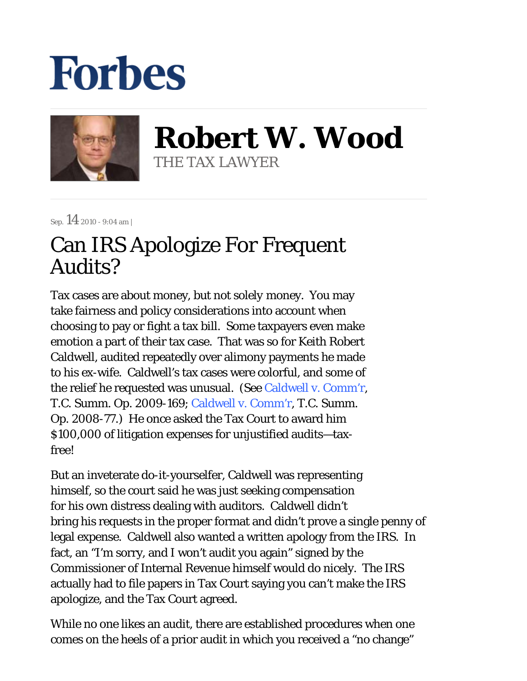## **Forbes**



**Robert W. Wood** THE TAX LAWYER

Sep.  $14$  2010 - 9:04 am |

## Can IRS Apologize For Frequent Audits?

Tax cases are about money, but not *solely* money. You may take fairness and policy considerations into account when choosing to pay or fight a tax bill. Some taxpayers even make emotion a part of their tax case. That was so for Keith Robert Caldwell, audited repeatedly over alimony payments he made to his ex-wife. Caldwell's tax cases were colorful, and some of the relief he requested was unusual. (See Caldwell v. Comm'r, T.C. Summ. Op. 2009-169; Caldwell v. Comm'r, T.C. Summ. Op. 2008-77.) He once asked the Tax Court to award him \$100,000 of litigation expenses for unjustified audits—taxfree!

But an inveterate do-it-yourselfer, Caldwell was representing himself, so the court said he was just seeking compensation for his own distress dealing with auditors. Caldwell didn't bring his requests in the proper format and didn't prove a single penny of legal expense. Caldwell also wanted a written apology from the IRS. In fact, an "I'm sorry, and I won't audit you again" signed by the Commissioner of Internal Revenue himself would do nicely. The IRS actually had to file papers in Tax Court saying you can't make the IRS apologize, and the Tax Court agreed.

While no one likes an audit, there are established procedures when one comes on the heels of a prior audit in which you received a "no change"